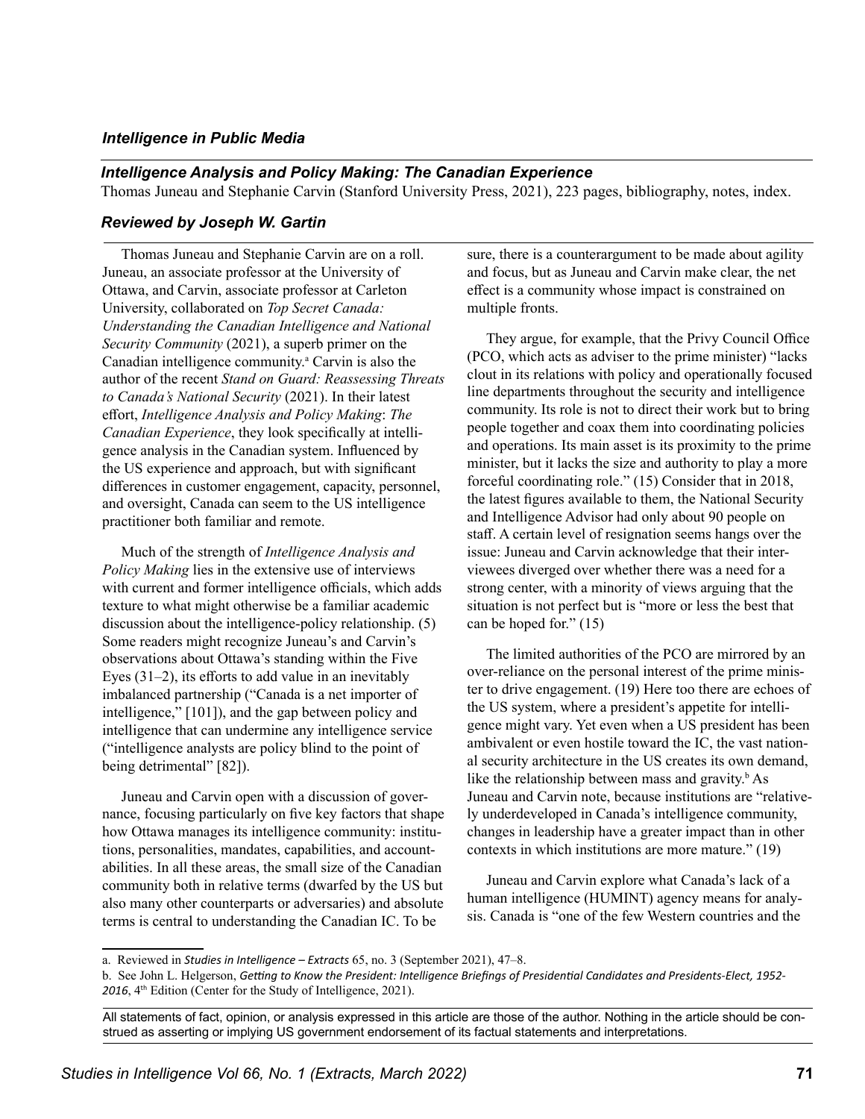## *Intelligence in Public Media*

## *Intelligence Analysis and Policy Making: The Canadian Experience*

Thomas Juneau and Stephanie Carvin (Stanford University Press, 2021), 223 pages, bibliography, notes, index.

## *Reviewed by Joseph W. Gartin*

Thomas Juneau and Stephanie Carvin are on a roll. Juneau, an associate professor at the University of Ottawa, and Carvin, associate professor at Carleton University, collaborated on *Top Secret Canada: Understanding the Canadian Intelligence and National Security Community* (2021), a superb primer on the Canadian intelligence community.<sup>a</sup> Carvin is also the author of the recent *Stand on Guard: Reassessing Threats to Canada's National Security* (2021). In their latest effort, *Intelligence Analysis and Policy Making*: *The Canadian Experience*, they look specifically at intelligence analysis in the Canadian system. Influenced by the US experience and approach, but with significant differences in customer engagement, capacity, personnel, and oversight, Canada can seem to the US intelligence practitioner both familiar and remote.

Much of the strength of *Intelligence Analysis and Policy Making* lies in the extensive use of interviews with current and former intelligence officials, which adds texture to what might otherwise be a familiar academic discussion about the intelligence-policy relationship. (5) Some readers might recognize Juneau's and Carvin's observations about Ottawa's standing within the Five Eyes (31–2), its efforts to add value in an inevitably imbalanced partnership ("Canada is a net importer of intelligence," [101]), and the gap between policy and intelligence that can undermine any intelligence service ("intelligence analysts are policy blind to the point of being detrimental" [82]).

Juneau and Carvin open with a discussion of governance, focusing particularly on five key factors that shape how Ottawa manages its intelligence community: institutions, personalities, mandates, capabilities, and accountabilities. In all these areas, the small size of the Canadian community both in relative terms (dwarfed by the US but also many other counterparts or adversaries) and absolute terms is central to understanding the Canadian IC. To be

sure, there is a counterargument to be made about agility and focus, but as Juneau and Carvin make clear, the net effect is a community whose impact is constrained on multiple fronts.

They argue, for example, that the Privy Council Office (PCO, which acts as adviser to the prime minister) "lacks clout in its relations with policy and operationally focused line departments throughout the security and intelligence community. Its role is not to direct their work but to bring people together and coax them into coordinating policies and operations. Its main asset is its proximity to the prime minister, but it lacks the size and authority to play a more forceful coordinating role." (15) Consider that in 2018, the latest figures available to them, the National Security and Intelligence Advisor had only about 90 people on staff. A certain level of resignation seems hangs over the issue: Juneau and Carvin acknowledge that their interviewees diverged over whether there was a need for a strong center, with a minority of views arguing that the situation is not perfect but is "more or less the best that can be hoped for." (15)

The limited authorities of the PCO are mirrored by an over-reliance on the personal interest of the prime minister to drive engagement. (19) Here too there are echoes of the US system, where a president's appetite for intelligence might vary. Yet even when a US president has been ambivalent or even hostile toward the IC, the vast national security architecture in the US creates its own demand, like the relationship between mass and gravity. $\frac{b}{b}$  As Juneau and Carvin note, because institutions are "relatively underdeveloped in Canada's intelligence community, changes in leadership have a greater impact than in other contexts in which institutions are more mature." (19)

Juneau and Carvin explore what Canada's lack of a human intelligence (HUMINT) agency means for analysis. Canada is "one of the few Western countries and the

All statements of fact, opinion, or analysis expressed in this article are those of the author. Nothing in the article should be construed as asserting or implying US government endorsement of its factual statements and interpretations.

a. Reviewed in *Studies in Intelligence – Extracts* 65, no. 3 (September 2021), 47–8.

b. See John L. Helgerson, *Getting to Know the President: Intelligence Briefings of Presidential Candidates and Presidents-Elect, 1952- 2016*, 4th Edition (Center for the Study of Intelligence, 2021).